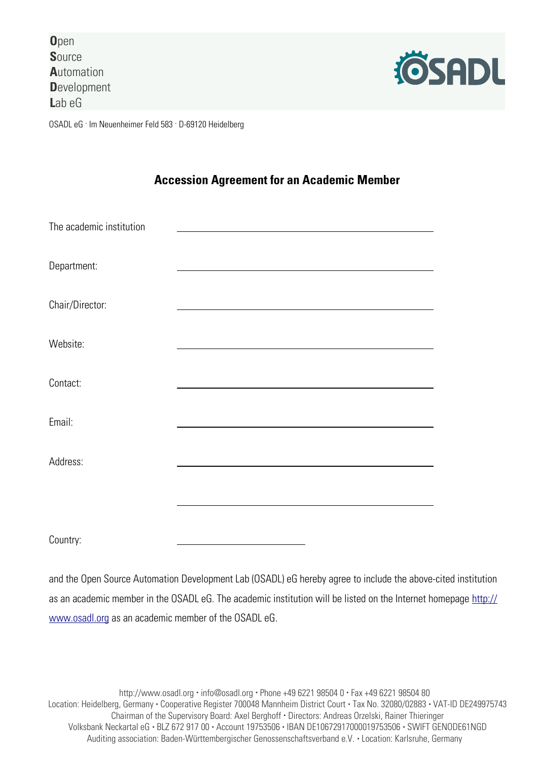**O**pen **S**ource **A**utomation **D**evelopment **L**ab eG



OSADL eG . Im Neuenheimer Feld 583 . D-69120 Heidelberg

## **Accession Agreement for an Academic Member**

| The academic institution |  |
|--------------------------|--|
| Department:              |  |
| Chair/Director:          |  |
| Website:                 |  |
| Contact:                 |  |
| Email:                   |  |
| Address:                 |  |
|                          |  |
| Country:                 |  |

and the Open Source Automation Development Lab (OSADL) eG hereby agree to include the above-cited institution as an academic member in the OSADL eG. The academic institution will be listed on the Internet homepage [http://](http://www.osadl.org/) [www.osadl.org](http://www.osadl.org/) as an academic member of the OSADL eG.

http://www.osadl.org • info@osadl.org • Phone +49 6221 98504 0 • Fax +49 6221 98504 80 Location: Heidelberg, Germany • Cooperative Register 700048 Mannheim District Court • Tax No. 32080/02883 • VAT-ID DE249975743 Chairman of the Supervisory Board: Axel Berghoff • Directors: Andreas Orzelski, Rainer Thieringer Volksbank Neckartal eG • BLZ 672 917 00 • Account 19753506 • IBAN DE10672917000019753506 • SWIFT GENODE61NGD Auditing association: Baden-Württembergischer Genossenschaftsverband e.V. • Location: Karlsruhe, Germany